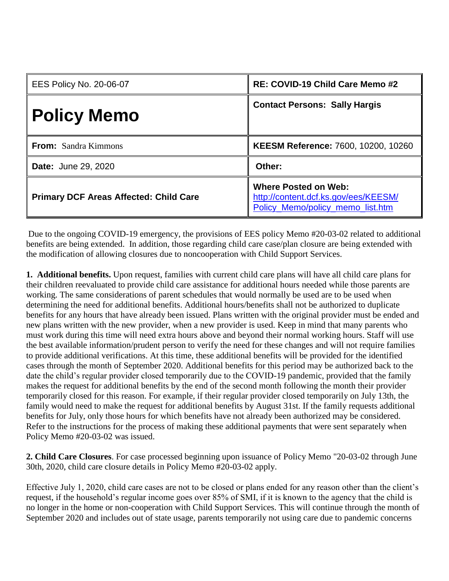| <b>EES Policy No. 20-06-07</b>                | RE: COVID-19 Child Care Memo #2                                                                         |
|-----------------------------------------------|---------------------------------------------------------------------------------------------------------|
| <b>Policy Memo</b>                            | <b>Contact Persons: Sally Hargis</b>                                                                    |
| <b>From:</b> Sandra Kimmons                   | KEESM Reference: 7600, 10200, 10260                                                                     |
| <b>Date: June 29, 2020</b>                    | Other:                                                                                                  |
| <b>Primary DCF Areas Affected: Child Care</b> | <b>Where Posted on Web:</b><br>http://content.dcf.ks.gov/ees/KEESM/<br>Policy Memo/policy memo list.htm |

Due to the ongoing COVID-19 emergency, the provisions of EES policy Memo #20-03-02 related to additional benefits are being extended. In addition, those regarding child care case/plan closure are being extended with the modification of allowing closures due to noncooperation with Child Support Services.

**1. Additional benefits.** Upon request, families with current child care plans will have all child care plans for their children reevaluated to provide child care assistance for additional hours needed while those parents are working. The same considerations of parent schedules that would normally be used are to be used when determining the need for additional benefits. Additional hours/benefits shall not be authorized to duplicate benefits for any hours that have already been issued. Plans written with the original provider must be ended and new plans written with the new provider, when a new provider is used. Keep in mind that many parents who must work during this time will need extra hours above and beyond their normal working hours. Staff will use the best available information/prudent person to verify the need for these changes and will not require families to provide additional verifications. At this time, these additional benefits will be provided for the identified cases through the month of September 2020. Additional benefits for this period may be authorized back to the date the child's regular provider closed temporarily due to the COVID-19 pandemic, provided that the family makes the request for additional benefits by the end of the second month following the month their provider temporarily closed for this reason. For example, if their regular provider closed temporarily on July 13th, the family would need to make the request for additional benefits by August 31st. If the family requests additional benefits for July, only those hours for which benefits have not already been authorized may be considered. Refer to the instructions for the process of making these additional payments that were sent separately when Policy Memo #20-03-02 was issued.

**2. Child Care Closures**. For case processed beginning upon issuance of Policy Memo "20-03-02 through June 30th, 2020, child care closure details in Policy Memo #20-03-02 apply.

Effective July 1, 2020, child care cases are not to be closed or plans ended for any reason other than the client's request, if the household's regular income goes over 85% of SMI, if it is known to the agency that the child is no longer in the home or non-cooperation with Child Support Services. This will continue through the month of September 2020 and includes out of state usage, parents temporarily not using care due to pandemic concerns